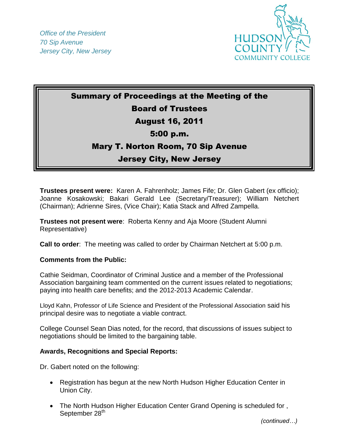

# Summary of Proceedings at the Meeting of the Board of Trustees August 16, 2011 5:00 p.m.

## Mary T. Norton Room, 70 Sip Avenue

## Jersey City, New Jersey

**Trustees present were:** Karen A. Fahrenholz; James Fife; Dr. Glen Gabert (ex officio); Joanne Kosakowski; Bakari Gerald Lee (Secretary/Treasurer); William Netchert (Chairman); Adrienne Sires, (Vice Chair); Katia Stack and Alfred Zampella.

**Trustees not present were**: Roberta Kenny and Aja Moore (Student Alumni Representative)

**Call to order**: The meeting was called to order by Chairman Netchert at 5:00 p.m.

### **Comments from the Public:**

Cathie Seidman, Coordinator of Criminal Justice and a member of the Professional Association bargaining team commented on the current issues related to negotiations; paying into health care benefits; and the 2012-2013 Academic Calendar.

Lloyd Kahn, Professor of Life Science and President of the Professional Association said his principal desire was to negotiate a viable contract.

College Counsel Sean Dias noted, for the record, that discussions of issues subject to negotiations should be limited to the bargaining table.

### **Awards, Recognitions and Special Reports:**

Dr. Gabert noted on the following:

- Registration has begun at the new North Hudson Higher Education Center in Union City.
- The North Hudson Higher Education Center Grand Opening is scheduled for , September 28<sup>th</sup>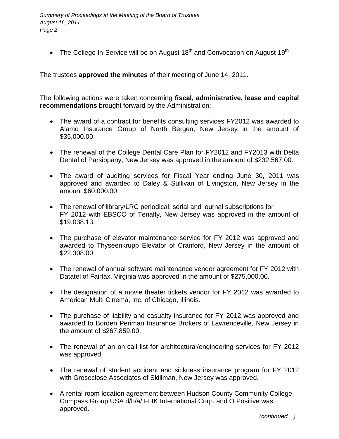• The College In-Service will be on August 18<sup>th</sup> and Convocation on August 19<sup>th</sup>

The trustees **approved the minutes** of their meeting of June 14, 2011.

The following actions were taken concerning **fiscal, administrative, lease and capital recommendations** brought forward by the Administration:

- The award of a contract for benefits consulting services FY2012 was awarded to Alamo Insurance Group of North Bergen, New Jersey in the amount of \$35,000.00.
- The renewal of the College Dental Care Plan for FY2012 and FY2013 with Delta Dental of Parsippany, New Jersey was approved in the amount of \$232,567.00.
- The award of auditing services for Fiscal Year ending June 30, 2011 was approved and awarded to Daley & Sullivan of Livingston, New Jersey in the amount \$60,000.00.
- The renewal of library/LRC periodical, serial and journal subscriptions for FY 2012 with EBSCO of Tenafly, New Jersey was approved in the amount of \$19,038.13.
- The purchase of elevator maintenance service for FY 2012 was approved and awarded to Thyseenkrupp Elevator of Cranford, New Jersey in the amount of \$22,308.00.
- The renewal of annual software maintenance vendor agreement for FY 2012 with Datatel of Fairfax, Virginia was approved in the amount of \$275,000.00.
- The designation of a movie theater tickets vendor for FY 2012 was awarded to American Multi Cinema, Inc. of Chicago, Illinois.
- The purchase of liability and casualty insurance for FY 2012 was approved and awarded to Borden Periman Insurance Brokers of Lawrenceville, New Jersey in the amount of \$267,859.00.
- The renewal of an on-call list for architectural/engineering services for FY 2012 was approved.
- The renewal of student accident and sickness insurance program for FY 2012 with Groseclose Associates of Skillman, New Jersey was approved.
- A rental room location agreement between Hudson County Community College, Compass Group USA d/b/a/ FLIK International Corp. and O Positive was approved.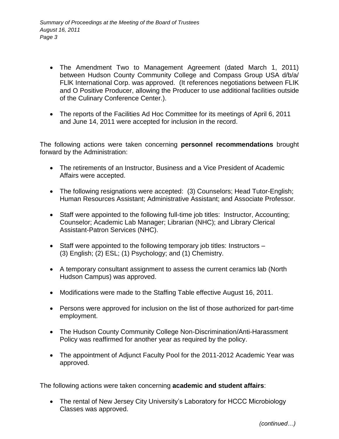- The Amendment Two to Management Agreement (dated March 1, 2011) between Hudson County Community College and Compass Group USA d/b/a/ FLlK International Corp. was approved. (It references negotiations between FLIK and O Positive Producer, allowing the Producer to use additional facilities outside of the Culinary Conference Center.).
- The reports of the Facilities Ad Hoc Committee for its meetings of April 6, 2011 and June 14, 2011 were accepted for inclusion in the record.

The following actions were taken concerning **personnel recommendations** brought forward by the Administration:

- The retirements of an Instructor, Business and a Vice President of Academic Affairs were accepted.
- The following resignations were accepted: (3) Counselors; Head Tutor-English; Human Resources Assistant; Administrative Assistant; and Associate Professor.
- Staff were appointed to the following full-time job titles: Instructor, Accounting; Counselor; Academic Lab Manager; Librarian (NHC); and Library Clerical Assistant-Patron Services (NHC).
- Staff were appointed to the following temporary job titles: Instructors (3) English; (2) ESL; (1) Psychology; and (1) Chemistry.
- A temporary consultant assignment to assess the current ceramics lab (North Hudson Campus) was approved.
- Modifications were made to the Staffing Table effective August 16, 2011.
- Persons were approved for inclusion on the list of those authorized for part-time employment.
- The Hudson County Community College Non-Discrimination/Anti-Harassment Policy was reaffirmed for another year as required by the policy.
- The appointment of Adjunct Faculty Pool for the 2011-2012 Academic Year was approved.

The following actions were taken concerning **academic and student affairs**:

• The rental of New Jersey City University's Laboratory for HCCC Microbiology Classes was approved.